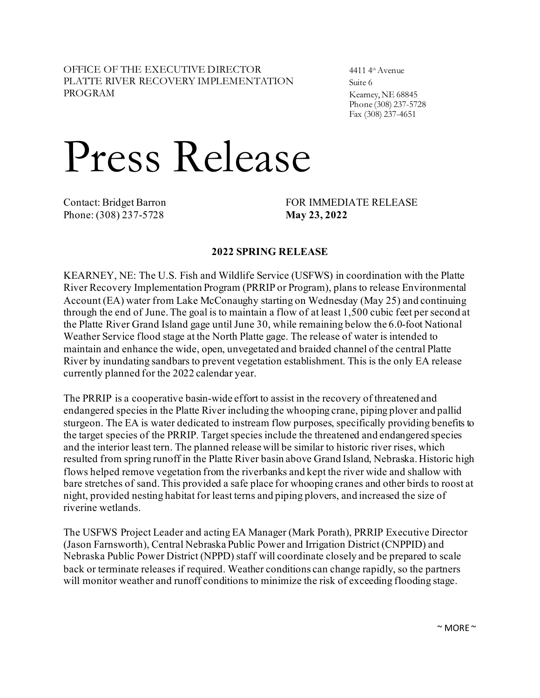OFFICE OF THE EXECUTIVE DIRECTOR 4411 4<sup>th</sup> Avenue PLATTE RIVER RECOVERY IMPLEMENTATION Suite 6 PROGRAM Kearney, NE 68845

Phone (308) 237-5728 Fax (308) 237-4651

## Press Release

Phone: (308) 237-5728 **May 23, 2022**

Contact: Bridget Barron FOR IMMEDIATE RELEASE

## **2022 SPRING RELEASE**

KEARNEY, NE: The U.S. Fish and Wildlife Service (USFWS) in coordination with the Platte River Recovery Implementation Program (PRRIP or Program), plans to release Environmental Account (EA) water from Lake McConaughy starting on Wednesday (May 25) and continuing through the end of June. The goal is to maintain a flow of at least 1,500 cubic feet per second at the Platte River Grand Island gage until June 30, while remaining below the 6.0-foot National Weather Service flood stage at the North Platte gage. The release of water is intended to maintain and enhance the wide, open, unvegetated and braided channel of the central Platte River by inundating sandbars to prevent vegetation establishment. This is the only EA release currently planned for the 2022 calendar year.

The PRRIP is a cooperative basin-wide effort to assist in the recovery of threatened and endangered species in the Platte River including the whooping crane, piping plover and pallid sturgeon. The EA is water dedicated to instream flow purposes, specifically providing benefits to the target species of the PRRIP. Target species include the threatened and endangered species and the interior least tern. The planned release will be similar to historic river rises, which resulted from spring runoff in the Platte River basin above Grand Island, Nebraska. Historic high flows helped remove vegetation from the riverbanks and kept the river wide and shallow with bare stretches of sand. This provided a safe place for whooping cranes and other birds to roost at night, provided nesting habitat for least terns and piping plovers, and increased the size of riverine wetlands.

The USFWS Project Leader and acting EA Manager (Mark Porath), PRRIP Executive Director (Jason Farnsworth), Central Nebraska Public Power and Irrigation District (CNPPID) and Nebraska Public Power District (NPPD) staff will coordinate closely and be prepared to scale back or terminate releases if required. Weather conditions can change rapidly, so the partners will monitor weather and runoff conditions to minimize the risk of exceeding flooding stage.